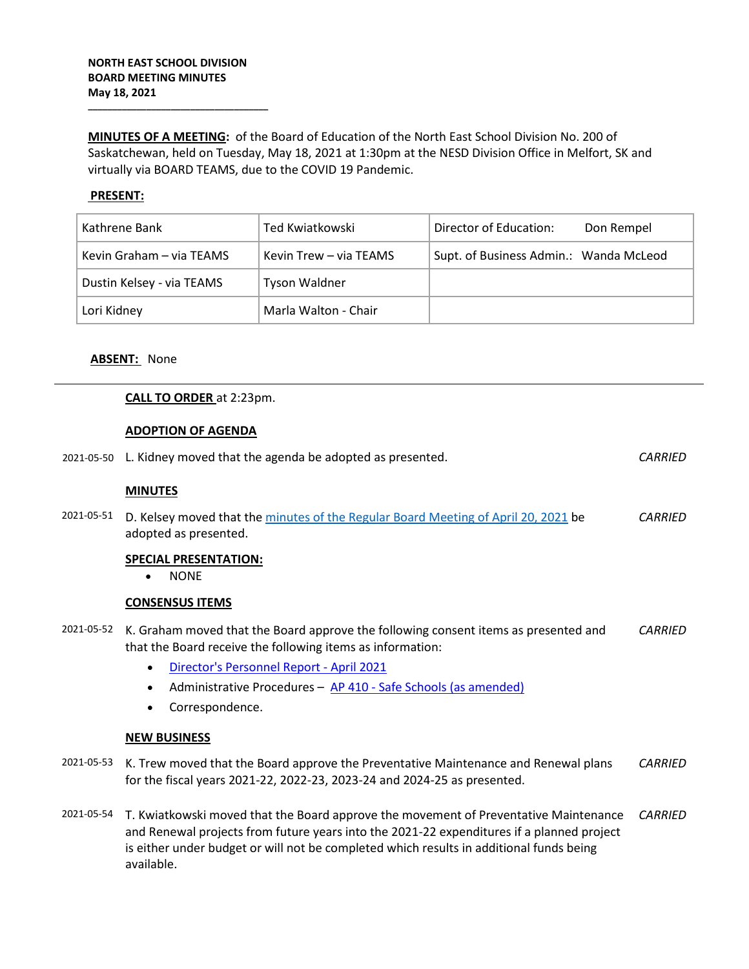**\_\_\_\_\_\_\_\_\_\_\_\_\_\_\_\_\_\_\_\_\_\_\_\_\_\_\_\_\_\_\_\_\_\_\_\_\_**

**MINUTES OF A MEETING:** of the Board of Education of the North East School Division No. 200 of Saskatchewan, held on Tuesday, May 18, 2021 at 1:30pm at the NESD Division Office in Melfort, SK and virtually via BOARD TEAMS, due to the COVID 19 Pandemic.

# **PRESENT:**

| Kathrene Bank             | Ted Kwiatkowski        | Director of Education:                 | Don Rempel |
|---------------------------|------------------------|----------------------------------------|------------|
| Kevin Graham – via TEAMS  | Kevin Trew – via TEAMS | Supt. of Business Admin.: Wanda McLeod |            |
| Dustin Kelsey - via TEAMS | <b>Tyson Waldner</b>   |                                        |            |
| Lori Kidney               | Marla Walton - Chair   |                                        |            |

## **ABSENT:** None

#### **CALL TO ORDER** at 2:23pm.

## **ADOPTION OF AGENDA**

|            | 2021-05-50 L. Kidney moved that the agenda be adopted as presented.                                                                                                                                                                                                                        | <b>CARRIED</b> |
|------------|--------------------------------------------------------------------------------------------------------------------------------------------------------------------------------------------------------------------------------------------------------------------------------------------|----------------|
|            | <b>MINUTES</b>                                                                                                                                                                                                                                                                             |                |
| 2021-05-51 | D. Kelsey moved that the minutes of the Regular Board Meeting of April 20, 2021 be<br>adopted as presented.                                                                                                                                                                                | <b>CARRIED</b> |
|            | <b>SPECIAL PRESENTATION:</b><br><b>NONE</b><br>$\bullet$                                                                                                                                                                                                                                   |                |
|            | <b>CONSENSUS ITEMS</b>                                                                                                                                                                                                                                                                     |                |
| 2021-05-52 | K. Graham moved that the Board approve the following consent items as presented and<br>that the Board receive the following items as information:                                                                                                                                          | <b>CARRIED</b> |
|            | Director's Personnel Report - April 2021<br>$\bullet$                                                                                                                                                                                                                                      |                |
|            | Administrative Procedures - AP 410 - Safe Schools (as amended)<br>$\bullet$                                                                                                                                                                                                                |                |
|            | Correspondence.                                                                                                                                                                                                                                                                            |                |
|            | <b>NEW BUSINESS</b>                                                                                                                                                                                                                                                                        |                |
| 2021-05-53 | K. Trew moved that the Board approve the Preventative Maintenance and Renewal plans<br>for the fiscal years 2021-22, 2022-23, 2023-24 and 2024-25 as presented.                                                                                                                            | <b>CARRIED</b> |
| 2021-05-54 | T. Kwiatkowski moved that the Board approve the movement of Preventative Maintenance<br>and Renewal projects from future years into the 2021-22 expenditures if a planned project<br>is either under budget or will not be completed which results in additional funds being<br>available. | <b>CARRIED</b> |